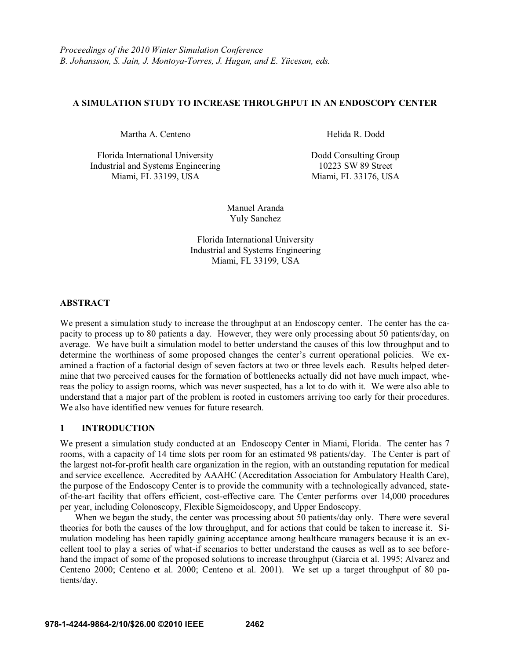### **A SIMULATION STUDY TO INCREASE THROUGHPUT IN AN ENDOSCOPY CENTER**

Martha A. Centeno **Martha A. Centeno Electro A. A. A. Electro A. A. Dodd** 

Florida International University Dodd Consulting Group Industrial and Systems Engineering 10223 SW 89 Street<br>Miami, FL 33199, USA Miami, FL 33176, US

Miami, FL 33176, USA

Manuel Aranda Yuly Sanchez

Florida International University Industrial and Systems Engineering Miami, FL 33199, USA

### **ABSTRACT**

We present a simulation study to increase the throughput at an Endoscopy center. The center has the capacity to process up to 80 patients a day. However, they were only processing about 50 patients/day, on average. We have built a simulation model to better understand the causes of this low throughput and to determine the worthiness of some proposed changes the center's current operational policies. We examined a fraction of a factorial design of seven factors at two or three levels each. Results helped determine that two perceived causes for the formation of bottlenecks actually did not have much impact, whereas the policy to assign rooms, which was never suspected, has a lot to do with it. We were also able to understand that a major part of the problem is rooted in customers arriving too early for their procedures. We also have identified new venues for future research.

# **1 INTRODUCTION**

We present a simulation study conducted at an Endoscopy Center in Miami, Florida. The center has 7 rooms, with a capacity of 14 time slots per room for an estimated 98 patients/day. The Center is part of the largest not-for-profit health care organization in the region, with an outstanding reputation for medical and service excellence. Accredited by AAAHC (Accreditation Association for Ambulatory Health Care), the purpose of the Endoscopy Center is to provide the community with a technologically advanced, stateof-the-art facility that offers efficient, cost-effective care. The Center performs over 14,000 procedures per year, including Colonoscopy, Flexible Sigmoidoscopy, and Upper Endoscopy.

When we began the study, the center was processing about 50 patients/day only. There were several theories for both the causes of the low throughput, and for actions that could be taken to increase it. Simulation modeling has been rapidly gaining acceptance among healthcare managers because it is an excellent tool to play a series of what-if scenarios to better understand the causes as well as to see beforehand the impact of some of the proposed solutions to increase throughput (Garcia et al. 1995; Alvarez and Centeno 2000; Centeno et al. 2000; Centeno et al. 2001). We set up a target throughput of 80 patients/day.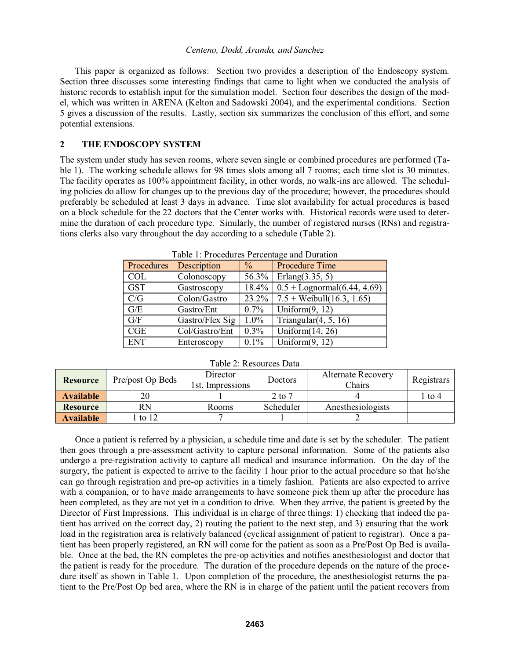This paper is organized as follows: Section two provides a description of the Endoscopy system. Section three discusses some interesting findings that came to light when we conducted the analysis of historic records to establish input for the simulation model. Section four describes the design of the model, which was written in ARENA (Kelton and Sadowski 2004), and the experimental conditions. Section 5 gives a discussion of the results. Lastly, section six summarizes the conclusion of this effort, and some potential extensions.

# **2 THE ENDOSCOPY SYSTEM**

The system under study has seven rooms, where seven single or combined procedures are performed (Table 1). The working schedule allows for 98 times slots among all 7 rooms; each time slot is 30 minutes. The facility operates as 100% appointment facility, in other words, no walk-ins are allowed. The scheduling policies do allow for changes up to the previous day of the procedure; however, the procedures should preferably be scheduled at least 3 days in advance. Time slot availability for actual procedures is based on a block schedule for the 22 doctors that the Center works with. Historical records were used to determine the duration of each procedure type. Similarly, the number of registered nurses (RNs) and registrations clerks also vary throughout the day according to a schedule (Table 2).

| Table 1. Flocedules Felcentage and Dufation |                 |         |                                  |  |  |  |  |  |
|---------------------------------------------|-----------------|---------|----------------------------------|--|--|--|--|--|
| Procedures                                  | Description     | $\%$    | <b>Procedure Time</b>            |  |  |  |  |  |
| <b>COL</b>                                  | Colonoscopy     | 56.3%   | Erlang $(3.35, 5)$               |  |  |  |  |  |
| <b>GST</b>                                  | Gastroscopy     | 18.4%   | $0.5 +$ Lognormal $(6.44, 4.69)$ |  |  |  |  |  |
| C/G                                         | Colon/Gastro    | 23.2%   | $7.5 + Weibull(16.3, 1.65)$      |  |  |  |  |  |
| G/E                                         | Gastro/Ent      | $0.7\%$ | Uniform $(9, 12)$                |  |  |  |  |  |
| G/F                                         | Gastro/Flex Sig | $1.0\%$ | Triangular $(4, 5, 16)$          |  |  |  |  |  |
| CGE                                         | Col/Gastro/Ent  | $0.3\%$ | Uniform $(14, 26)$               |  |  |  |  |  |
| <b>ENT</b>                                  | Enteroscopy     | $0.1\%$ | Uniform $(9, 12)$                |  |  |  |  |  |

Table 1: Procedures Percentage and Duration

| <b>Resource</b>       | Pre/post Op Beds | Director<br><b>Doctors</b><br>'st.<br>Impressions |           | <b>Alternate Recovery</b><br>Chairs | Registrars |
|-----------------------|------------------|---------------------------------------------------|-----------|-------------------------------------|------------|
| <b>Available</b>      | 20               |                                                   | 2 to 7    |                                     | l to 4     |
| RN<br><b>Resource</b> |                  | Rooms                                             | Scheduler | Anesthesiologists                   |            |
| <b>Available</b>      | to $12$          |                                                   |           |                                     |            |

Table 2: Resources Data

Once a patient is referred by a physician, a schedule time and date is set by the scheduler. The patient then goes through a pre-assessment activity to capture personal information. Some of the patients also undergo a pre-registration activity to capture all medical and insurance information. On the day of the surgery, the patient is expected to arrive to the facility 1 hour prior to the actual procedure so that he/she can go through registration and pre-op activities in a timely fashion. Patients are also expected to arrive with a companion, or to have made arrangements to have someone pick them up after the procedure has been completed, as they are not yet in a condition to drive. When they arrive, the patient is greeted by the Director of First Impressions. This individual is in charge of three things: 1) checking that indeed the patient has arrived on the correct day, 2) routing the patient to the next step, and 3) ensuring that the work load in the registration area is relatively balanced (cyclical assignment of patient to registrar). Once a patient has been properly registered, an RN will come for the patient as soon as a Pre/Post Op Bed is available. Once at the bed, the RN completes the pre-op activities and notifies anesthesiologist and doctor that the patient is ready for the procedure. The duration of the procedure depends on the nature of the procedure itself as shown in Table 1. Upon completion of the procedure, the anesthesiologist returns the patient to the Pre/Post Op bed area, where the RN is in charge of the patient until the patient recovers from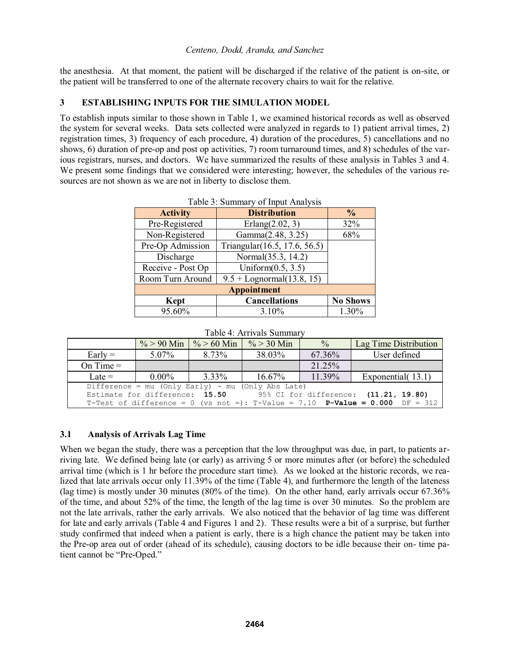the anesthesia. At that moment, the patient will be discharged if the relative of the patient is on-site, or the patient will be transferred to one of the alternate recovery chairs to wait for the relative.

# **3 ESTABLISHING INPUTS FOR THE SIMULATION MODEL**

To establish inputs similar to those shown in Table 1, we examined historical records as well as observed the system for several weeks. Data sets collected were analyzed in regards to 1) patient arrival times, 2) registration times, 3) frequency of each procedure, 4) duration of the procedures, 5) cancellations and no shows, 6) duration of pre-op and post op activities, 7) room turnaround times, and 8) schedules of the various registrars, nurses, and doctors. We have summarized the results of these analysis in Tables 3 and 4. We present some findings that we considered were interesting; however, the schedules of the various resources are not shown as we are not in liberty to disclose them.

| 1400               |                              |                 |  |  |  |  |  |
|--------------------|------------------------------|-----------------|--|--|--|--|--|
| <b>Activity</b>    | <b>Distribution</b>          | $\frac{6}{9}$   |  |  |  |  |  |
| Pre-Registered     | Erlang $(2.02, 3)$           | 32%             |  |  |  |  |  |
| Non-Registered     | Gamma(2.48, 3.25)            | 68%             |  |  |  |  |  |
| Pre-Op Admission   | Triangular(16.5, 17.6, 56.5) |                 |  |  |  |  |  |
| Discharge          | Normal(35.3, 14.2)           |                 |  |  |  |  |  |
| Receive - Post Op  | Uniform $(0.5, 3.5)$         |                 |  |  |  |  |  |
| Room Turn Around   | $9.5 + Lognormal(13.8, 15)$  |                 |  |  |  |  |  |
| <b>Appointment</b> |                              |                 |  |  |  |  |  |
| <b>Kept</b>        | <b>Cancellations</b>         | <b>No Shows</b> |  |  |  |  |  |
| 95.60%             | 3.10%                        | 1.30%           |  |  |  |  |  |

| Table 4: Arrivals Summary |  |
|---------------------------|--|
|---------------------------|--|

|                                                                      |          | $\% > 90$ Min $\frac{6}{5} > 60$ Min | $\% > 30$ Min | $\frac{0}{0}$ | Lag Time Distribution                                                               |  |  |
|----------------------------------------------------------------------|----------|--------------------------------------|---------------|---------------|-------------------------------------------------------------------------------------|--|--|
| $Early =$                                                            | $5.07\%$ | 8.73%                                | 38.03%        | 67.36%        | User defined                                                                        |  |  |
| On Time $=$                                                          |          |                                      |               | 21.25%        |                                                                                     |  |  |
| Late $=$                                                             | $0.00\%$ | 3.33%                                | $16.67\%$     | 11.39%        | Exponential (13.1)                                                                  |  |  |
| Difference = mu (Only Early) - mu (Only Abs Late)                    |          |                                      |               |               |                                                                                     |  |  |
| Estimate for difference: 15.50 95% CI for difference: (11.21, 19.80) |          |                                      |               |               |                                                                                     |  |  |
|                                                                      |          |                                      |               |               | T-Test of difference = 0 (vs not =): T-Value = 7.10 <b>P-Value = 0.000</b> DF = 312 |  |  |

# **3.1 Analysis of Arrivals Lag Time**

When we began the study, there was a perception that the low throughput was due, in part, to patients arriving late. We defined being late (or early) as arriving 5 or more minutes after (or before) the scheduled arrival time (which is 1 hr before the procedure start time). As we looked at the historic records, we realized that late arrivals occur only 11.39% of the time (Table 4), and furthermore the length of the lateness (lag time) is mostly under 30 minutes (80% of the time). On the other hand, early arrivals occur 67.36% of the time, and about 52% of the time, the length of the lag time is over 30 minutes. So the problem are not the late arrivals, rather the early arrivals. We also noticed that the behavior of lag time was different for late and early arrivals (Table 4 and Figures 1 and 2). These results were a bit of a surprise, but further study confirmed that indeed when a patient is early, there is a high chance the patient may be taken into the Pre-op area out of order (ahead of its schedule), causing doctors to be idle because their on- time patient cannot be "Pre-Oped."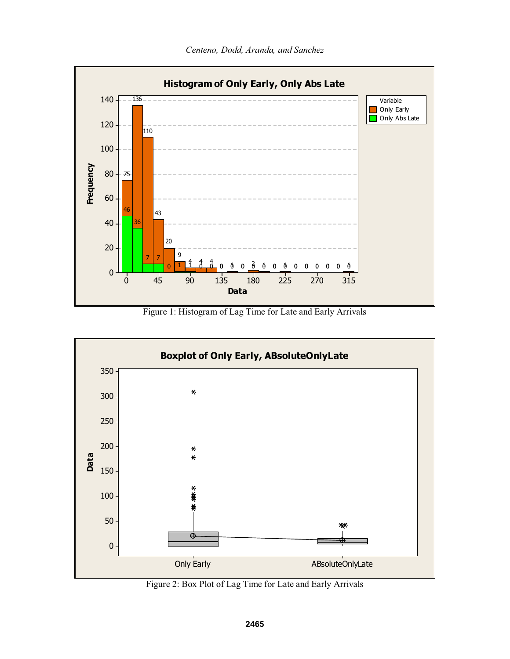

Figure 1: Histogram of Lag Time for Late and Early Arrivals



Figure 2: Box Plot of Lag Time for Late and Early Arrivals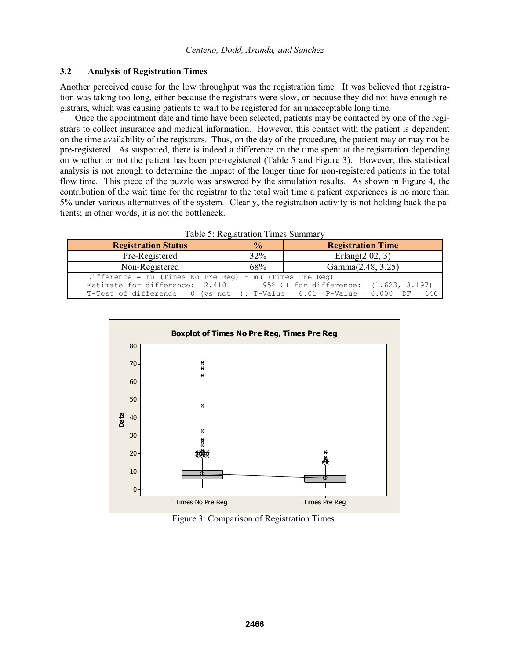#### **3.2 Analysis of Registration Times**

Another perceived cause for the low throughput was the registration time. It was believed that registration was taking too long, either because the registrars were slow, or because they did not have enough registrars, which was causing patients to wait to be registered for an unacceptable long time.

Once the appointment date and time have been selected, patients may be contacted by one of the registrars to collect insurance and medical information. However, this contact with the patient is dependent on the time availability of the registrars. Thus, on the day of the procedure, the patient may or may not be pre-registered. As suspected, there is indeed a difference on the time spent at the registration depending on whether or not the patient has been pre-registered (Table 5 and Figure 3). However, this statistical analysis is not enough to determine the impact of the longer time for non-registered patients in the total flow time. This piece of the puzzle was answered by the simulation results. As shown in Figure 4, the contribution of the wait time for the registrar to the total wait time a patient experiences is no more than 5% under various alternatives of the system. Clearly, the registration activity is not holding back the patients; in other words, it is not the bottleneck.

| <b>Registration Status</b>                                                         | $\frac{6}{10}$ | <b>Registration Time</b>              |  |  |  |  |  |  |
|------------------------------------------------------------------------------------|----------------|---------------------------------------|--|--|--|--|--|--|
| Pre-Registered                                                                     | 32%            | Erlang $(2.02, 3)$                    |  |  |  |  |  |  |
| Non-Registered                                                                     | 68%            | Gamma(2.48, 3.25)                     |  |  |  |  |  |  |
| Difference = mu (Times No Pre Req) - mu (Times Pre Req)                            |                |                                       |  |  |  |  |  |  |
| Estimate for difference: 2.410                                                     |                | 95% CI for difference: (1.623, 3.197) |  |  |  |  |  |  |
| T-Test of difference = 0 (vs not =): T-Value = $6.01$ P-Value = $0.000$ DF = $646$ |                |                                       |  |  |  |  |  |  |

Table 5: Registration Times Summary



Figure 3: Comparison of Registration Times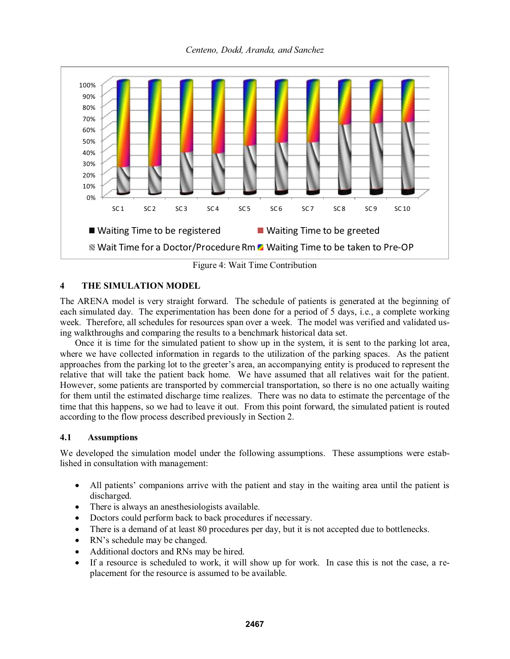*Centeno, Dodd, Aranda, and Sanchez* 



Figure 4: Wait Time Contribution

# **4 THE SIMULATION MODEL**

The ARENA model is very straight forward. The schedule of patients is generated at the beginning of each simulated day. The experimentation has been done for a period of 5 days, i.e., a complete working week. Therefore, all schedules for resources span over a week. The model was verified and validated using walkthroughs and comparing the results to a benchmark historical data set.

Once it is time for the simulated patient to show up in the system, it is sent to the parking lot area, where we have collected information in regards to the utilization of the parking spaces. As the patient approaches from the parking lot to the greeter's area, an accompanying entity is produced to represent the relative that will take the patient back home. We have assumed that all relatives wait for the patient. However, some patients are transported by commercial transportation, so there is no one actually waiting for them until the estimated discharge time realizes. There was no data to estimate the percentage of the time that this happens, so we had to leave it out. From this point forward, the simulated patient is routed according to the flow process described previously in Section 2.

# **4.1 Assumptions**

We developed the simulation model under the following assumptions. These assumptions were established in consultation with management:

- -• All patients' companions arrive with the patient and stay in the waiting area until the patient is discharged.
- $\bullet$ There is always an anesthesiologists available.
- Doctors could perform back to back procedures if necessary.
- -There is a demand of at least 80 procedures per day, but it is not accepted due to bottlenecks.
- $\bullet$ • RN's schedule may be changed.
- -Additional doctors and RNs may be hired.
- $\bullet$  If a resource is scheduled to work, it will show up for work. In case this is not the case, a replacement for the resource is assumed to be available.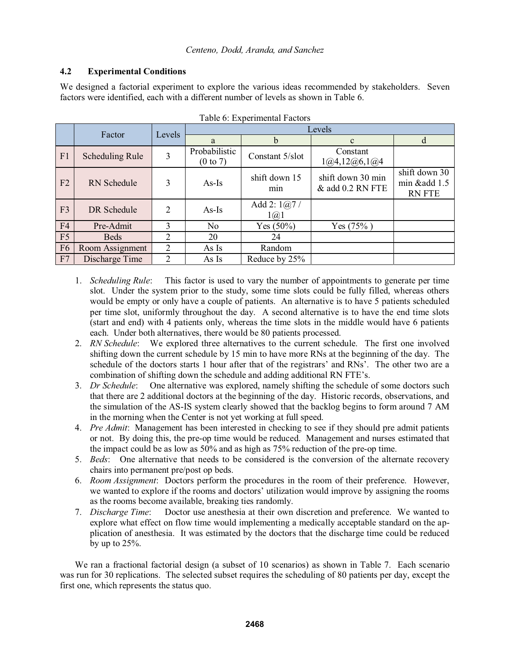# **4.2 Experimental Conditions**

We designed a factorial experiment to explore the various ideas recommended by stakeholders. Seven factors were identified, each with a different number of levels as shown in Table 6.

|                | Factor<br>Levels       |   | Levels                               |                                    |                                       |                                                |  |  |
|----------------|------------------------|---|--------------------------------------|------------------------------------|---------------------------------------|------------------------------------------------|--|--|
|                |                        |   | a                                    | h                                  | $\mathbf{C}$                          |                                                |  |  |
| F1             | <b>Scheduling Rule</b> | 3 | Probabilistic<br>$(0 \text{ to } 7)$ | Constant 5/slot                    | Constant<br>1@4, 12@6, 1@4            |                                                |  |  |
| F2             | <b>RN</b> Schedule     | 3 | $As-Is$                              | shift down 15<br>min               | shift down 30 min<br>& add 0.2 RN FTE | shift down 30<br>min &add 1.5<br><b>RN FTE</b> |  |  |
| F <sub>3</sub> | DR Schedule            | 2 | $As-Is$                              | Add 2: $1@7/$<br>$1(\overline{a})$ |                                       |                                                |  |  |
| F <sub>4</sub> | Pre-Admit              | 3 | No.                                  | Yes $(50\%)$                       | Yes (75%)                             |                                                |  |  |
| F5             | <b>Beds</b>            | 2 | 20                                   | 24                                 |                                       |                                                |  |  |
| F <sub>6</sub> | Room Assignment        | 2 | As Is                                | Random                             |                                       |                                                |  |  |
| F7             | Discharge Time         | 2 | As Is                                | Reduce by 25%                      |                                       |                                                |  |  |

- 1. *Scheduling Rule*: This factor is used to vary the number of appointments to generate per time slot. Under the system prior to the study, some time slots could be fully filled, whereas others would be empty or only have a couple of patients. An alternative is to have 5 patients scheduled per time slot, uniformly throughout the day. A second alternative is to have the end time slots (start and end) with 4 patients only, whereas the time slots in the middle would have 6 patients each. Under both alternatives, there would be 80 patients processed.
- 2. *RN Schedule*: We explored three alternatives to the current schedule. The first one involved shifting down the current schedule by 15 min to have more RNs at the beginning of the day. The schedule of the doctors starts 1 hour after that of the registrars' and RNs'. The other two are a combination of shifting down the schedule and adding additional RN FTE's.
- 3. *Dr Schedule*: One alternative was explored, namely shifting the schedule of some doctors such that there are 2 additional doctors at the beginning of the day. Historic records, observations, and the simulation of the AS-IS system clearly showed that the backlog begins to form around 7 AM in the morning when the Center is not yet working at full speed.
- 4. *Pre Admit*: Management has been interested in checking to see if they should pre admit patients or not. By doing this, the pre-op time would be reduced. Management and nurses estimated that the impact could be as low as 50% and as high as 75% reduction of the pre-op time.
- 5. *Beds*: One alternative that needs to be considered is the conversion of the alternate recovery chairs into permanent pre/post op beds.
- 6. *Room Assignment*: Doctors perform the procedures in the room of their preference. However, we wanted to explore if the rooms and doctors' utilization would improve by assigning the rooms as the rooms become available, breaking ties randomly.
- 7. *Discharge Time*: Doctor use anesthesia at their own discretion and preference. We wanted to explore what effect on flow time would implementing a medically acceptable standard on the application of anesthesia. It was estimated by the doctors that the discharge time could be reduced by up to 25%.

We ran a fractional factorial design (a subset of 10 scenarios) as shown in Table 7. Each scenario was run for 30 replications. The selected subset requires the scheduling of 80 patients per day, except the first one, which represents the status quo.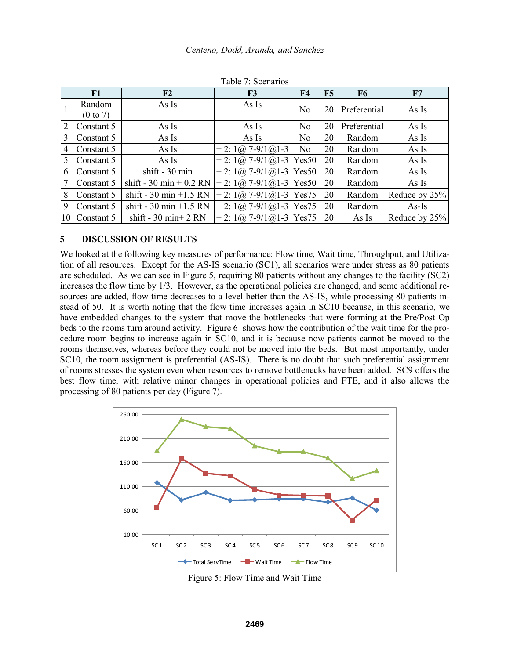|    | F1                            | F <sub>2</sub>                        | F <sub>3</sub>                                                   | F <sub>4</sub> | F5 | F6           | F7            |
|----|-------------------------------|---------------------------------------|------------------------------------------------------------------|----------------|----|--------------|---------------|
|    | Random<br>$(0 \text{ to } 7)$ | As Is                                 | As Is                                                            | N <sub>o</sub> | 20 | Preferential | As Is         |
| 2  | Constant 5                    | As Is                                 | As Is                                                            | N <sub>0</sub> | 20 | Preferential | As Is         |
| 3  | Constant 5                    | As Is                                 | As Is                                                            | N <sub>0</sub> | 20 | Random       | As Is         |
| 4  | Constant 5                    | As Is                                 | $+ 2: 1 \omega$ , 7-9/1 $\omega$ 1-3                             | N <sub>0</sub> | 20 | Random       | As Is         |
| 5  | Constant 5                    | As Is                                 | $+ 2: 1 \omega$ , 7-9/1 $\omega$ 1-3 Yes50                       |                | 20 | Random       | As Is         |
| 6  | Constant 5                    | $shift - 30 min$                      | $+ 2: 1 \omega$ , 7-9/1 $\omega$ 1-3 Yes50                       |                | 20 | Random       | As Is         |
| 7  | Constant 5                    | shift - 30 min + $0.2$ RN             | + 2: $1\omega$ 7-9/1 $\omega$ 1-3 Yes50                          |                | 20 | Random       | As Is         |
| 8  | Constant 5                    | shift - 30 min +1.5 RN                | $+ 2: 1(\partial$ , 7-9/1 $(\partial)$ 1-3 Yes75                 |                | 20 | Random       | Reduce by 25% |
| 9  | Constant 5                    | shift - 30 min +1.5 RN                | + 2: $1(\overline{\omega}, 7 - 9/1\overline{\omega}) - 3$ Yes 75 |                | 20 | Random       | $As-Is$       |
| 10 | Constant 5                    | shift - $30 \text{ min}+2 \text{ RN}$ | + 2: $1\omega$ 7-9/1 $\omega$ 1-3 Yes75                          |                | 20 | As Is        | Reduce by 25% |

Table 7: Scenarios

### **5 DISCUSSION OF RESULTS**

We looked at the following key measures of performance: Flow time, Wait time, Throughput, and Utilization of all resources. Except for the AS-IS scenario (SC1), all scenarios were under stress as 80 patients are scheduled. As we can see in Figure 5, requiring 80 patients without any changes to the facility (SC2) increases the flow time by 1/3. However, as the operational policies are changed, and some additional resources are added, flow time decreases to a level better than the AS-IS, while processing 80 patients instead of 50. It is worth noting that the flow time increases again in SC10 because, in this scenario, we have embedded changes to the system that move the bottlenecks that were forming at the Pre/Post Op beds to the rooms turn around activity. Figure 6 shows how the contribution of the wait time for the procedure room begins to increase again in SC10, and it is because now patients cannot be moved to the rooms themselves, whereas before they could not be moved into the beds. But most importantly, under SC10, the room assignment is preferential (AS-IS). There is no doubt that such preferential assignment of rooms stresses the system even when resources to remove bottlenecks have been added. SC9 offers the best flow time, with relative minor changes in operational policies and FTE, and it also allows the processing of 80 patients per day (Figure 7).



Figure 5: Flow Time and Wait Time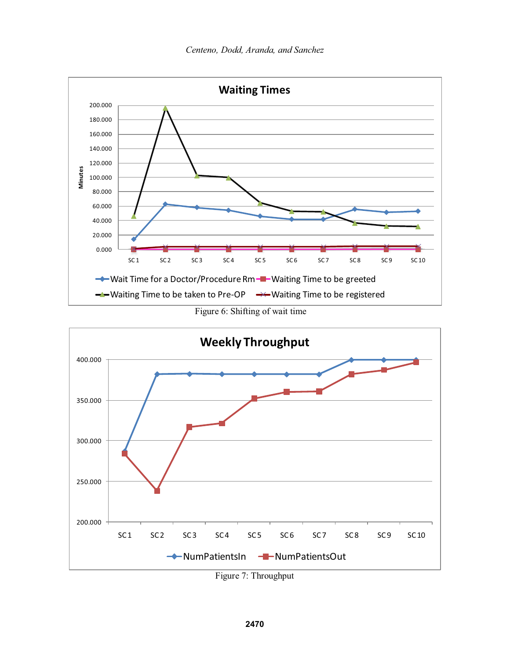

Figure 6: Shifting of wait time



Figure 7: Throughput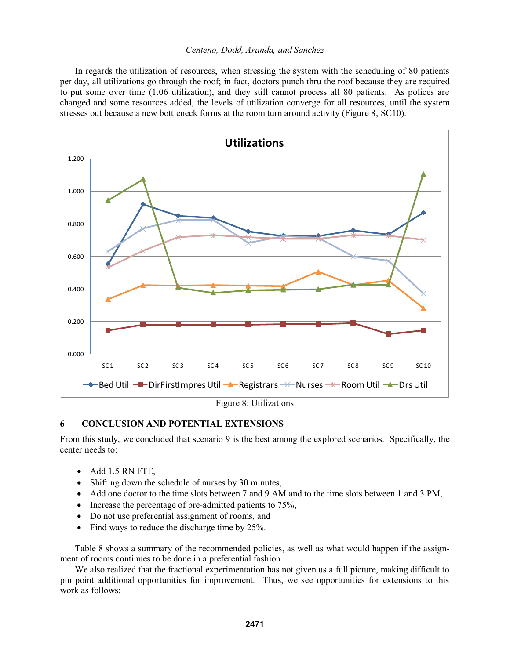In regards the utilization of resources, when stressing the system with the scheduling of 80 patients per day, all utilizations go through the roof; in fact, doctors punch thru the roof because they are required to put some over time (1.06 utilization), and they still cannot process all 80 patients. As polices are changed and some resources added, the levels of utilization converge for all resources, until the system stresses out because a new bottleneck forms at the room turn around activity (Figure 8, SC10).



# **6 CONCLUSION AND POTENTIAL EXTENSIONS**

From this study, we concluded that scenario 9 is the best among the explored scenarios. Specifically, the center needs to:

- Add 1.5 RN FTE,
- Shifting down the schedule of nurses by 30 minutes,
- Add one doctor to the time slots between 7 and 9 AM and to the time slots between 1 and 3 PM,
- Increase the percentage of pre-admitted patients to 75%,
- Do not use preferential assignment of rooms, and
- Find ways to reduce the discharge time by 25%.

Table 8 shows a summary of the recommended policies, as well as what would happen if the assignment of rooms continues to be done in a preferential fashion.

We also realized that the fractional experimentation has not given us a full picture, making difficult to pin point additional opportunities for improvement. Thus, we see opportunities for extensions to this work as follows: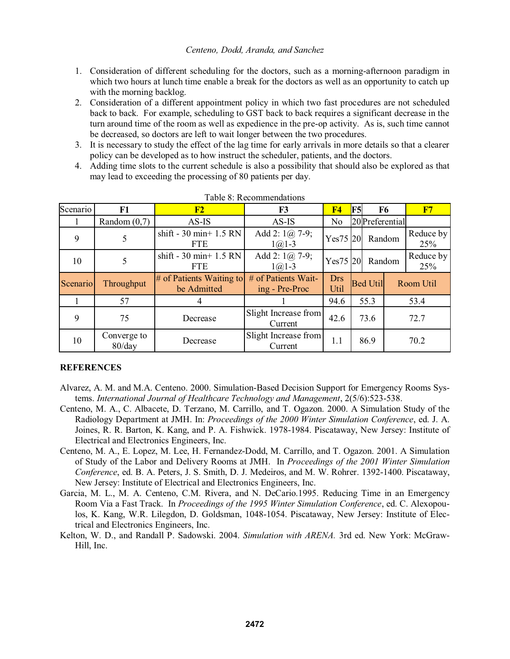- 1. Consideration of different scheduling for the doctors, such as a morning-afternoon paradigm in which two hours at lunch time enable a break for the doctors as well as an opportunity to catch up with the morning backlog.
- 2. Consideration of a different appointment policy in which two fast procedures are not scheduled back to back. For example, scheduling to GST back to back requires a significant decrease in the turn around time of the room as well as expedience in the pre-op activity. As is, such time cannot be decreased, so doctors are left to wait longer between the two procedures.
- 3. It is necessary to study the effect of the lag time for early arrivals in more details so that a clearer policy can be developed as to how instruct the scheduler, patients, and the doctors.
- 4. Adding time slots to the current schedule is also a possibility that should also be explored as that may lead to exceeding the processing of 80 patients per day.

| Scenario | F1                       | F2                                                    | F3                                    | F <sub>4</sub> | F5 | F <sub>6</sub>   |  | F7               |
|----------|--------------------------|-------------------------------------------------------|---------------------------------------|----------------|----|------------------|--|------------------|
|          | Random $(0,7)$           | $AS$ -IS                                              | AS-IS                                 | N <sub>o</sub> |    | 20 Preferential  |  |                  |
| 9        | 5                        | shift - $30 \text{ min}+1.5 \text{ RN}$<br><b>FTE</b> | Add 2: $1(a)$ 7-9;<br>$1(a)1-3$       | Yes75 20       |    | Random           |  | Reduce by<br>25% |
| 10       | 5                        | shift - 30 min+ $1.5$ RN<br><b>FTE</b>                | Add 2: $1(\omega)$ 7-9;<br>$1(a)1-3$  | Yes75 20       |    | Random           |  | Reduce by<br>25% |
| Scenario | Throughput               | $#$ of Patients Waiting to<br>be Admitted             | # of Patients Wait-<br>ing - Pre-Proc | Drs<br>Util    |    | <b>Bed Utill</b> |  | Room Util        |
|          | 57                       |                                                       |                                       | 94.6           |    | 55.3             |  | 53.4             |
| 9        | 75                       | Decrease                                              | Slight Increase from<br>Current       | 42.6           |    | 73.6             |  | 72.7             |
| 10       | Converge to<br>$80$ /day | Decrease                                              | Slight Increase from<br>Current       | 1.1            |    | 86.9             |  | 70.2             |

Table 8: Recommendations

# **REFERENCES**

- Alvarez, A. M. and M.A. Centeno. 2000. Simulation-Based Decision Support for Emergency Rooms Systems. *International Journal of Healthcare Technology and Management*, 2(5/6):523-538.
- Centeno, M. A., C. Albacete, D. Terzano, M. Carrillo, and T. Ogazon. 2000. A Simulation Study of the Radiology Department at JMH. In: *Proceedings of the 2000 Winter Simulation Conference*, ed. J. A. Joines, R. R. Barton, K. Kang, and P. A. Fishwick. 1978-1984. Piscataway, New Jersey: Institute of Electrical and Electronics Engineers, Inc.
- Centeno, M. A., E. Lopez, M. Lee, H. Fernandez-Dodd, M. Carrillo, and T. Ogazon. 2001. A Simulation of Study of the Labor and Delivery Rooms at JMH. In *Proceedings of the 2001 Winter Simulation Conference*, ed. B. A. Peters, J. S. Smith, D. J. Medeiros, and M. W. Rohrer. 1392-1400. Piscataway, New Jersey: Institute of Electrical and Electronics Engineers, Inc.
- Garcia, M. L., M. A. Centeno, C.M. Rivera, and N. DeCario.1995. Reducing Time in an Emergency Room Via a Fast Track. In *Proceedings of the 1995 Winter Simulation Conference*, ed. C. Alexopoulos, K. Kang, W.R. Lilegdon, D. Goldsman, 1048-1054. Piscataway, New Jersey: Institute of Electrical and Electronics Engineers, Inc.
- Kelton, W. D., and Randall P. Sadowski. 2004. *Simulation with ARENA.* 3rd ed. New York: McGraw-Hill, Inc.